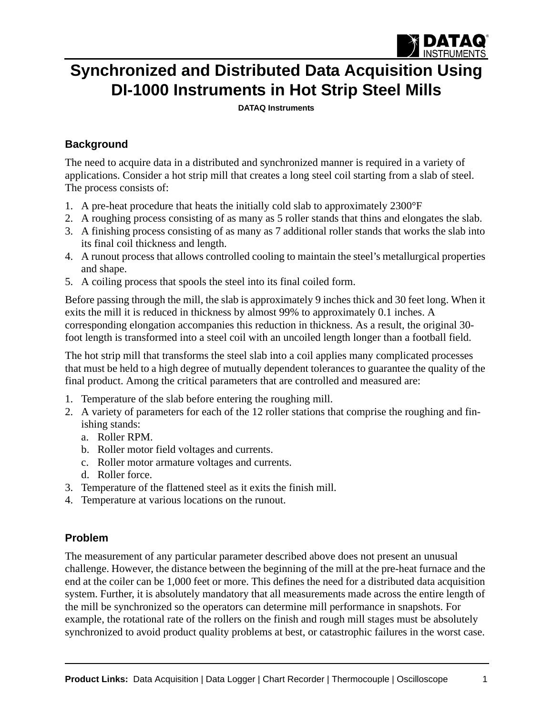

# **Synchronized and Distributed Data Acquisition Using DI-1000 Instruments in Hot Strip Steel Mills**

**[DATAQ Instruments](http://www.dataq.com)**

## **Background**

The need to acquire data in a distributed and synchronized manner is required in a variety of applications. Consider a hot strip mill that creates a long steel coil starting from a slab of steel. The process consists of:

- 1. A pre-heat procedure that heats the initially cold slab to approximately 2300°F
- 2. A roughing process consisting of as many as 5 roller stands that thins and elongates the slab.
- 3. A finishing process consisting of as many as 7 additional roller stands that works the slab into its final coil thickness and length.
- 4. A runout process that allows controlled cooling to maintain the steel's metallurgical properties and shape.
- 5. A coiling process that spools the steel into its final coiled form.

Before passing through the mill, the slab is approximately 9 inches thick and 30 feet long. When it exits the mill it is reduced in thickness by almost 99% to approximately 0.1 inches. A corresponding elongation accompanies this reduction in thickness. As a result, the original 30 foot length is transformed into a steel coil with an uncoiled length longer than a football field.

The hot strip mill that transforms the steel slab into a coil applies many complicated processes that must be held to a high degree of mutually dependent tolerances to guarantee the quality of the final product. Among the critical parameters that are controlled and measured are:

- 1. Temperature of the slab before entering the roughing mill.
- 2. A variety of parameters for each of the 12 roller stations that comprise the roughing and finishing stands:
	- a. Roller RPM.
	- b. Roller motor field voltages and currents.
	- c. Roller motor armature voltages and currents.
	- d. Roller force.
- 3. Temperature of the flattened steel as it exits the finish mill.
- 4. Temperature at various locations on the runout.

### **Problem**

The measurement of any particular parameter described above does not present an unusual challenge. However, the distance between the beginning of the mill at the pre-heat furnace and the end at the coiler can be 1,000 feet or more. This defines the need for a distributed data acquisition system. Further, it is absolutely mandatory that all measurements made across the entire length of the mill be synchronized so the operators can determine mill performance in snapshots. For example, the rotational rate of the rollers on the finish and rough mill stages must be absolutely synchronized to avoid product quality problems at best, or catastrophic failures in the worst case.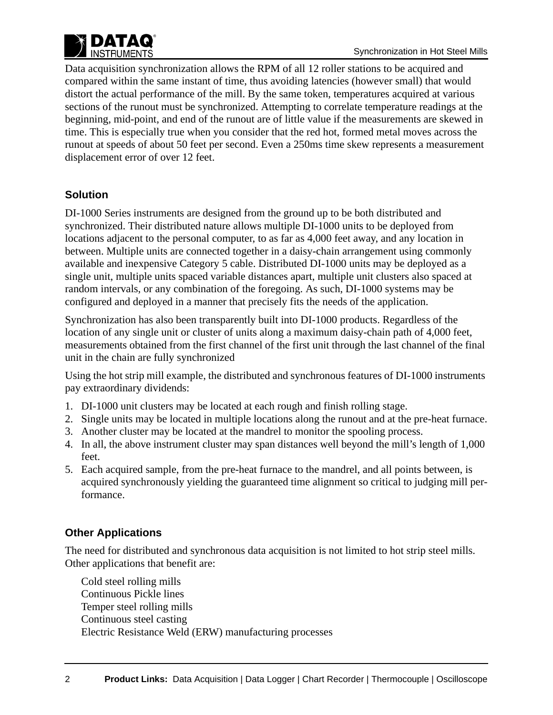

Data acquisition synchronization allows the RPM of all 12 roller stations to be acquired and compared within the same instant of time, thus avoiding latencies (however small) that would distort the actual performance of the mill. By the same token, temperatures acquired at various sections of the runout must be synchronized. Attempting to correlate temperature readings at the beginning, mid-point, and end of the runout are of little value if the measurements are skewed in time. This is especially true when you consider that the red hot, formed metal moves across the runout at speeds of about 50 feet per second. Even a 250ms time skew represents a measurement displacement error of over 12 feet.

### **Solution**

DI-1000 Series instruments are designed from the ground up to be both distributed and synchronized. Their distributed nature allows multiple DI-1000 units to be deployed from locations adjacent to the personal computer, to as far as 4,000 feet away, and any location in between. Multiple units are connected together in a daisy-chain arrangement using commonly available and inexpensive Category 5 cable. Distributed DI-1000 units may be deployed as a single unit, multiple units spaced variable distances apart, multiple unit clusters also spaced at random intervals, or any combination of the foregoing. As such, DI-1000 systems may be configured and deployed in a manner that precisely fits the needs of the application.

Synchronization has also been transparently built into DI-1000 products. Regardless of the location of any single unit or cluster of units along a maximum daisy-chain path of 4,000 feet, measurements obtained from the first channel of the first unit through the last channel of the final unit in the chain are fully synchronized

Using the hot strip mill example, the distributed and synchronous features of DI-1000 instruments pay extraordinary dividends:

- 1. DI-1000 unit clusters may be located at each rough and finish rolling stage.
- 2. Single units may be located in multiple locations along the runout and at the pre-heat furnace.
- 3. Another cluster may be located at the mandrel to monitor the spooling process.
- 4. In all, the above instrument cluster may span distances well beyond the mill's length of 1,000 feet.
- 5. Each acquired sample, from the pre-heat furnace to the mandrel, and all points between, is acquired synchronously yielding the guaranteed time alignment so critical to judging mill performance.

### **Other Applications**

The need for distributed and synchronous data acquisition is not limited to hot strip steel mills. Other applications that benefit are:

Cold steel rolling mills Continuous Pickle lines Temper steel rolling mills Continuous steel casting Electric Resistance Weld (ERW) manufacturing processes